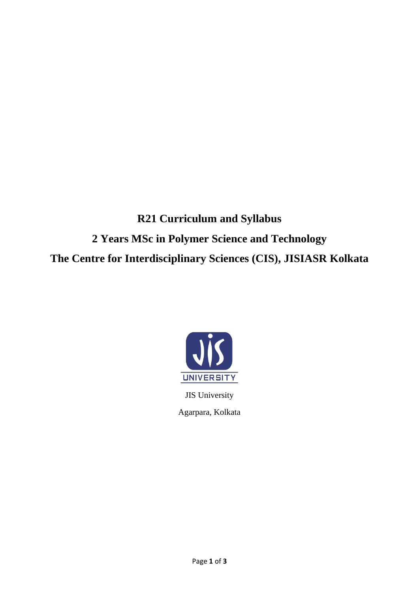**R21 Curriculum and Syllabus 2 Years MSc in Polymer Science and Technology The Centre for Interdisciplinary Sciences (CIS), JISIASR Kolkata**



JIS University Agarpara, Kolkata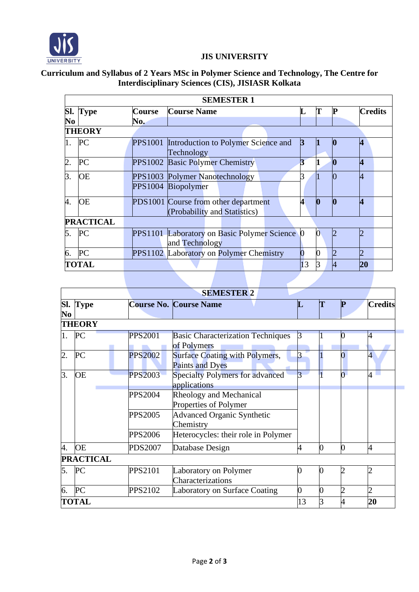

## **JIS UNIVERSITY**

## **Curriculum and Syllabus of 2 Years MSc in Polymer Science and Technology, The Centre for Interdisciplinary Sciences (CIS), JISIASR Kolkata**

| <b>SEMESTER 1</b> |             |                |                                                                      |  |              |          |                |                         |  |
|-------------------|-------------|----------------|----------------------------------------------------------------------|--|--------------|----------|----------------|-------------------------|--|
| SI.               | <b>Type</b> | Course         | <b>Course Name</b>                                                   |  | L            | Т        | P              | <b>Credits</b>          |  |
| No                |             | No.            |                                                                      |  |              |          |                |                         |  |
| <b>THEORY</b>     |             |                |                                                                      |  |              |          |                |                         |  |
| 1.                | PC          | <b>PPS1001</b> | Introduction to Polymer Science and<br>Technology                    |  | $\mathbf{3}$ |          | $\bf{0}$       | $\overline{4}$          |  |
| $\overline{2}$ .  | PC          |                | PPS1002 Basic Polymer Chemistry                                      |  | 3            |          | $\bf{0}$       | 4                       |  |
| 3.                | ΟE          |                | PPS1003 Polymer Nanotechnology<br>PPS1004 Biopolymer                 |  |              |          | $\overline{0}$ | 4                       |  |
| 4.                | ЮE          |                | PDS1001 Course from other department<br>(Probability and Statistics) |  | 4            | $\bf{0}$ | $\bf{0}$       | $\overline{\mathbf{4}}$ |  |
| <b>PRACTICAL</b>  |             |                |                                                                      |  |              |          |                |                         |  |
| 5.                | PC          |                | PPS1101 Laboratory on Basic Polymer Science<br>and Technology        |  |              |          |                | 2                       |  |
| 6.                | PC          |                | PPS1102 Laboratory on Polymer Chemistry                              |  |              |          |                | $\overline{2}$          |  |
| TOTAL             |             |                |                                                                      |  | 13           |          | 14             | 20                      |  |
|                   |             |                |                                                                      |  |              |          |                |                         |  |

| <b>SEMESTER 2</b> |                  |                |                                                                 |                |              |                             |                          |
|-------------------|------------------|----------------|-----------------------------------------------------------------|----------------|--------------|-----------------------------|--------------------------|
| Sl.<br>No         | <b>Type</b>      |                | <b>Course No. Course Name</b>                                   | ╙              | Τ            | ${\bf P}$                   | <b>Credits</b>           |
|                   | <b>THEORY</b>    |                |                                                                 |                |              |                             |                          |
|                   | PC               | <b>PPS2001</b> | <b>Basic Characterization Techniques</b><br>of Polymers         | 3              |              |                             |                          |
| $\overline{2}$ .  | PC               | <b>PPS2002</b> | <b>Surface Coating with Polymers,</b><br><b>Paints and Dyes</b> |                |              |                             | $\overline{\mathcal{A}}$ |
| 3.                | <b>OE</b>        | <b>PPS2003</b> | <b>Specialty Polymers for advanced</b><br>applications          | $\overline{3}$ |              | 0                           | 4                        |
|                   |                  | <b>PPS2004</b> | Rheology and Mechanical<br>Properties of Polymer                |                |              |                             |                          |
|                   |                  | <b>PPS2005</b> | <b>Advanced Organic Synthetic</b><br>Chemistry                  |                |              |                             |                          |
|                   |                  | <b>PPS2006</b> | Heterocycles: their role in Polymer                             |                |              |                             |                          |
| 4.                | <b>OE</b>        | <b>PDS2007</b> | Database Design                                                 | 4              | $\bf{0}$     | $\bf{0}$                    | 4                        |
|                   | <b>PRACTICAL</b> |                |                                                                 |                |              |                             |                          |
| 5.                | PC               | <b>PPS2101</b> | Laboratory on Polymer<br>Characterizations                      |                |              |                             |                          |
| 6.                | PC               | PPS2102        | <b>Laboratory on Surface Coating</b>                            | 0              | <sup>o</sup> | $\mathcal{D}_{\mathcal{A}}$ |                          |
|                   | TOTAL            |                |                                                                 | 13             |              |                             | 20                       |